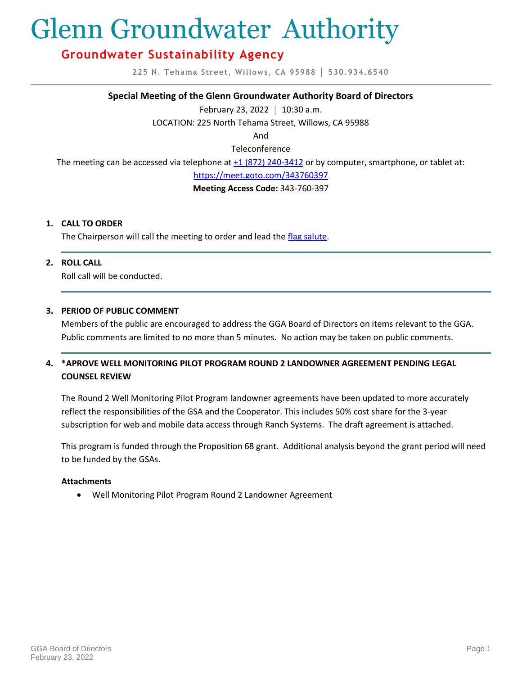# Glenn Groundwater Authority

## **Groundwater Sustainability Agency**

**225 N. Tehama Street, Willows, CA 95988 │ 530.934.6540**

#### **Special Meeting of the Glenn Groundwater Authority Board of Directors**

February 23, 2022 **│** 10:30 a.m.

LOCATION: 225 North Tehama Street, Willows, CA 95988

And

Teleconference

The meeting can be accessed via telephone at [+1 \(872\) 240-3412](tel:+18722403412,,343760397) or by computer, smartphone, or tablet at:

<https://meet.goto.com/343760397>

**Meeting Access Code:** 343-760-397

#### **1. CALL TO ORDER**

The Chairperson will call the meeting to order and lead th[e flag salute.](https://countyofglenn-my.sharepoint.com/:i:/g/personal/lhunter_countyofglenn_net/EVN07cS05F1Hpl1z3czSVNMBeWvTTtg6PgkcBdc8SCq2iw?e=3bYXPX)

#### **2. ROLL CALL**

Roll call will be conducted.

#### **3. PERIOD OF PUBLIC COMMENT**

Members of the public are encouraged to address the GGA Board of Directors on items relevant to the GGA. Public comments are limited to no more than 5 minutes. No action may be taken on public comments.

### **4. \*APROVE WELL MONITORING PILOT PROGRAM ROUND 2 LANDOWNER AGREEMENT PENDING LEGAL COUNSEL REVIEW**

The Round 2 Well Monitoring Pilot Program landowner agreements have been updated to more accurately reflect the responsibilities of the GSA and the Cooperator. This includes 50% cost share for the 3-year subscription for web and mobile data access through Ranch Systems. The draft agreement is attached.

This program is funded through the Proposition 68 grant. Additional analysis beyond the grant period will need to be funded by the GSAs.

#### **Attachments**

• Well Monitoring Pilot Program Round 2 Landowner Agreement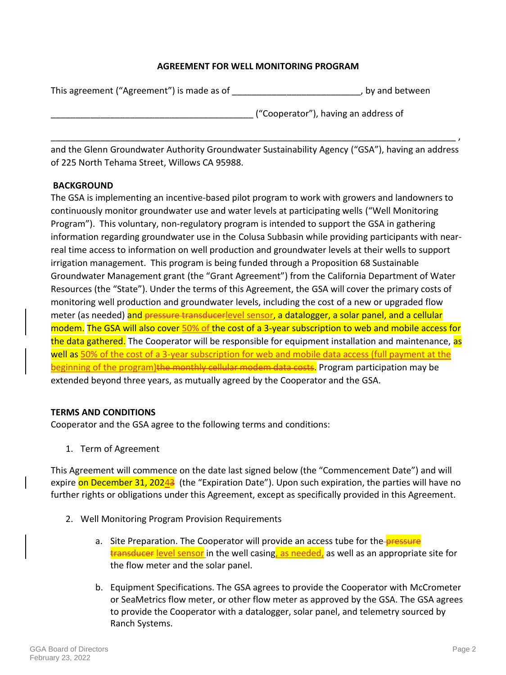### **AGREEMENT FOR WELL MONITORING PROGRAM**

| This agreement ("Agreement") is made as of | , by and between                     |
|--------------------------------------------|--------------------------------------|
|                                            | ("Cooperator"), having an address of |

and the Glenn Groundwater Authority Groundwater Sustainability Agency ("GSA"), having an address of 225 North Tehama Street, Willows CA 95988.

\_\_\_\_\_\_\_\_\_\_\_\_\_\_\_\_\_\_\_\_\_\_\_\_\_\_\_\_\_\_\_\_\_\_\_\_\_\_\_\_\_\_\_\_\_\_\_\_\_\_\_\_\_\_\_\_\_\_\_\_\_\_\_\_\_\_\_\_\_\_\_\_\_\_\_\_\_\_\_\_\_\_ ,

#### **BACKGROUND**

The GSA is implementing an incentive-based pilot program to work with growers and landowners to continuously monitor groundwater use and water levels at participating wells ("Well Monitoring Program"). This voluntary, non-regulatory program is intended to support the GSA in gathering information regarding groundwater use in the Colusa Subbasin while providing participants with nearreal time access to information on well production and groundwater levels at their wells to support irrigation management. This program is being funded through a Proposition 68 Sustainable Groundwater Management grant (the "Grant Agreement") from the California Department of Water Resources (the "State"). Under the terms of this Agreement, the GSA will cover the primary costs of monitoring well production and groundwater levels, including the cost of a new or upgraded flow meter (as needed) and pressure transducerlevel sensor, a datalogger, a solar panel, and a cellular modem. The GSA will also cover 50% of the cost of a 3-year subscription to web and mobile access for the data gathered. The Cooperator will be responsible for equipment installation and maintenance, as well as 50% of the cost of a 3-year subscription for web and mobile data access (full payment at the beginning of the program)the monthly cellular modem data costs. Program participation may be extended beyond three years, as mutually agreed by the Cooperator and the GSA.

### **TERMS AND CONDITIONS**

Cooperator and the GSA agree to the following terms and conditions:

1. Term of Agreement

This Agreement will commence on the date last signed below (the "Commencement Date") and will expire on December 31, 20243 (the "Expiration Date"). Upon such expiration, the parties will have no further rights or obligations under this Agreement, except as specifically provided in this Agreement.

- 2. Well Monitoring Program Provision Requirements
	- a. Site Preparation. The Cooperator will provide an access tube for the-**pressure** transducer level sensor in the well casing, as needed, as well as an appropriate site for the flow meter and the solar panel.
	- b. Equipment Specifications. The GSA agrees to provide the Cooperator with McCrometer or SeaMetrics flow meter, or other flow meter as approved by the GSA. The GSA agrees to provide the Cooperator with a datalogger, solar panel, and telemetry sourced by Ranch Systems.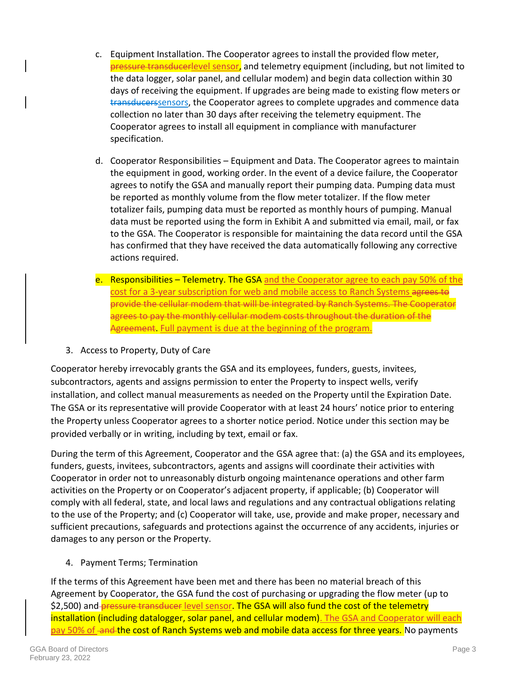- c. Equipment Installation. The Cooperator agrees to install the provided flow meter, pressure transducerlevel sensor, and telemetry equipment (including, but not limited to the data logger, solar panel, and cellular modem) and begin data collection within 30 days of receiving the equipment. If upgrades are being made to existing flow meters or transducerssensors, the Cooperator agrees to complete upgrades and commence data collection no later than 30 days after receiving the telemetry equipment. The Cooperator agrees to install all equipment in compliance with manufacturer specification.
- d. Cooperator Responsibilities Equipment and Data. The Cooperator agrees to maintain the equipment in good, working order. In the event of a device failure, the Cooperator agrees to notify the GSA and manually report their pumping data. Pumping data must be reported as monthly volume from the flow meter totalizer. If the flow meter totalizer fails, pumping data must be reported as monthly hours of pumping. Manual data must be reported using the form in Exhibit A and submitted via email, mail, or fax to the GSA. The Cooperator is responsible for maintaining the data record until the GSA has confirmed that they have received the data automatically following any corrective actions required.
- e. Responsibilities Telemetry. The GSA and the Cooperator agree to each pay 50% of the cost for a 3-year subscription for web and mobile access to Ranch Systems agrees to provide the cellular modem that will be integrated by Ranch Systems. The Cooperator agrees to pay the monthly cellular modem costs throughout the duration of the Agreement. Full payment is due at the beginning of the program.
- 3. Access to Property, Duty of Care

Cooperator hereby irrevocably grants the GSA and its employees, funders, guests, invitees, subcontractors, agents and assigns permission to enter the Property to inspect wells, verify installation, and collect manual measurements as needed on the Property until the Expiration Date. The GSA or its representative will provide Cooperator with at least 24 hours' notice prior to entering the Property unless Cooperator agrees to a shorter notice period. Notice under this section may be provided verbally or in writing, including by text, email or fax.

During the term of this Agreement, Cooperator and the GSA agree that: (a) the GSA and its employees, funders, guests, invitees, subcontractors, agents and assigns will coordinate their activities with Cooperator in order not to unreasonably disturb ongoing maintenance operations and other farm activities on the Property or on Cooperator's adjacent property, if applicable; (b) Cooperator will comply with all federal, state, and local laws and regulations and any contractual obligations relating to the use of the Property; and (c) Cooperator will take, use, provide and make proper, necessary and sufficient precautions, safeguards and protections against the occurrence of any accidents, injuries or damages to any person or the Property.

4. Payment Terms; Termination

If the terms of this Agreement have been met and there has been no material breach of this Agreement by Cooperator, the GSA fund the cost of purchasing or upgrading the flow meter (up to \$2,500) and pressure transducer level sensor. The GSA will also fund the cost of the telemetry installation (including datalogger, solar panel, and cellular modem). The GSA and Cooperator will each pay 50% of and the cost of Ranch Systems web and mobile data access for three years. No payments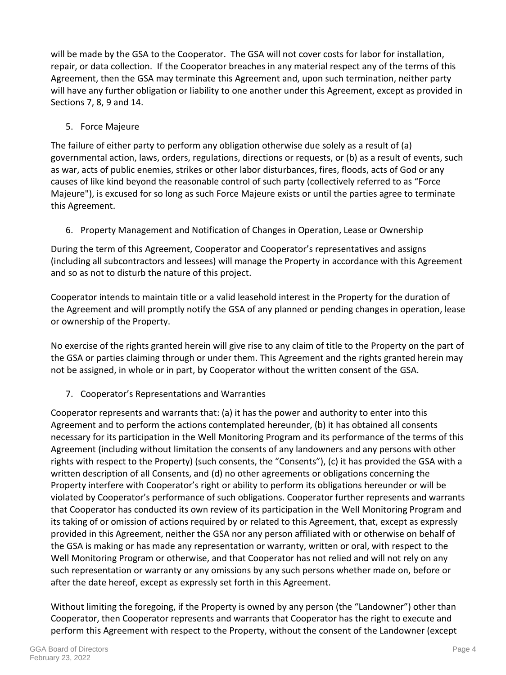will be made by the GSA to the Cooperator. The GSA will not cover costs for labor for installation, repair, or data collection. If the Cooperator breaches in any material respect any of the terms of this Agreement, then the GSA may terminate this Agreement and, upon such termination, neither party will have any further obligation or liability to one another under this Agreement, except as provided in Sections 7, 8, 9 and 14.

5. Force Majeure

The failure of either party to perform any obligation otherwise due solely as a result of (a) governmental action, laws, orders, regulations, directions or requests, or (b) as a result of events, such as war, acts of public enemies, strikes or other labor disturbances, fires, floods, acts of God or any causes of like kind beyond the reasonable control of such party (collectively referred to as "Force Majeure"), is excused for so long as such Force Majeure exists or until the parties agree to terminate this Agreement.

6. Property Management and Notification of Changes in Operation, Lease or Ownership

During the term of this Agreement, Cooperator and Cooperator's representatives and assigns (including all subcontractors and lessees) will manage the Property in accordance with this Agreement and so as not to disturb the nature of this project.

Cooperator intends to maintain title or a valid leasehold interest in the Property for the duration of the Agreement and will promptly notify the GSA of any planned or pending changes in operation, lease or ownership of the Property.

No exercise of the rights granted herein will give rise to any claim of title to the Property on the part of the GSA or parties claiming through or under them. This Agreement and the rights granted herein may not be assigned, in whole or in part, by Cooperator without the written consent of the GSA.

7. Cooperator's Representations and Warranties

Cooperator represents and warrants that: (a) it has the power and authority to enter into this Agreement and to perform the actions contemplated hereunder, (b) it has obtained all consents necessary for its participation in the Well Monitoring Program and its performance of the terms of this Agreement (including without limitation the consents of any landowners and any persons with other rights with respect to the Property) (such consents, the "Consents"), (c) it has provided the GSA with a written description of all Consents, and (d) no other agreements or obligations concerning the Property interfere with Cooperator's right or ability to perform its obligations hereunder or will be violated by Cooperator's performance of such obligations. Cooperator further represents and warrants that Cooperator has conducted its own review of its participation in the Well Monitoring Program and its taking of or omission of actions required by or related to this Agreement, that, except as expressly provided in this Agreement, neither the GSA nor any person affiliated with or otherwise on behalf of the GSA is making or has made any representation or warranty, written or oral, with respect to the Well Monitoring Program or otherwise, and that Cooperator has not relied and will not rely on any such representation or warranty or any omissions by any such persons whether made on, before or after the date hereof, except as expressly set forth in this Agreement.

Without limiting the foregoing, if the Property is owned by any person (the "Landowner") other than Cooperator, then Cooperator represents and warrants that Cooperator has the right to execute and perform this Agreement with respect to the Property, without the consent of the Landowner (except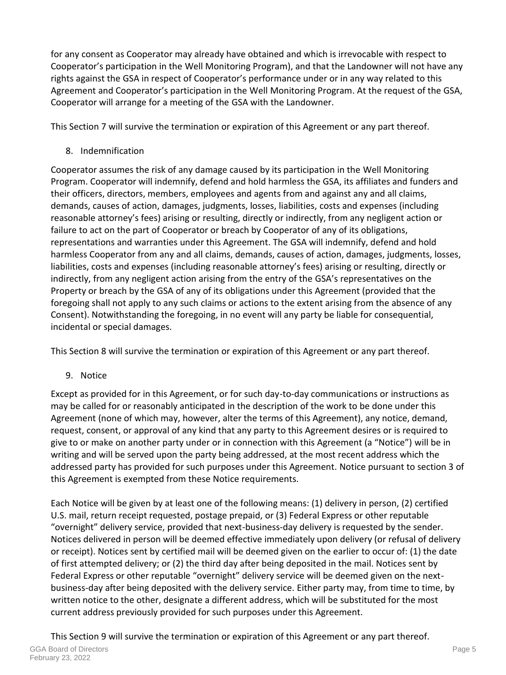for any consent as Cooperator may already have obtained and which is irrevocable with respect to Cooperator's participation in the Well Monitoring Program), and that the Landowner will not have any rights against the GSA in respect of Cooperator's performance under or in any way related to this Agreement and Cooperator's participation in the Well Monitoring Program. At the request of the GSA, Cooperator will arrange for a meeting of the GSA with the Landowner.

This Section 7 will survive the termination or expiration of this Agreement or any part thereof.

8. Indemnification

Cooperator assumes the risk of any damage caused by its participation in the Well Monitoring Program. Cooperator will indemnify, defend and hold harmless the GSA, its affiliates and funders and their officers, directors, members, employees and agents from and against any and all claims, demands, causes of action, damages, judgments, losses, liabilities, costs and expenses (including reasonable attorney's fees) arising or resulting, directly or indirectly, from any negligent action or failure to act on the part of Cooperator or breach by Cooperator of any of its obligations, representations and warranties under this Agreement. The GSA will indemnify, defend and hold harmless Cooperator from any and all claims, demands, causes of action, damages, judgments, losses, liabilities, costs and expenses (including reasonable attorney's fees) arising or resulting, directly or indirectly, from any negligent action arising from the entry of the GSA's representatives on the Property or breach by the GSA of any of its obligations under this Agreement (provided that the foregoing shall not apply to any such claims or actions to the extent arising from the absence of any Consent). Notwithstanding the foregoing, in no event will any party be liable for consequential, incidental or special damages.

This Section 8 will survive the termination or expiration of this Agreement or any part thereof.

9. Notice

Except as provided for in this Agreement, or for such day-to-day communications or instructions as may be called for or reasonably anticipated in the description of the work to be done under this Agreement (none of which may, however, alter the terms of this Agreement), any notice, demand, request, consent, or approval of any kind that any party to this Agreement desires or is required to give to or make on another party under or in connection with this Agreement (a "Notice") will be in writing and will be served upon the party being addressed, at the most recent address which the addressed party has provided for such purposes under this Agreement. Notice pursuant to section 3 of this Agreement is exempted from these Notice requirements.

Each Notice will be given by at least one of the following means: (1) delivery in person, (2) certified U.S. mail, return receipt requested, postage prepaid, or (3) Federal Express or other reputable "overnight" delivery service, provided that next-business-day delivery is requested by the sender. Notices delivered in person will be deemed effective immediately upon delivery (or refusal of delivery or receipt). Notices sent by certified mail will be deemed given on the earlier to occur of: (1) the date of first attempted delivery; or (2) the third day after being deposited in the mail. Notices sent by Federal Express or other reputable "overnight" delivery service will be deemed given on the nextbusiness-day after being deposited with the delivery service. Either party may, from time to time, by written notice to the other, designate a different address, which will be substituted for the most current address previously provided for such purposes under this Agreement.

This Section 9 will survive the termination or expiration of this Agreement or any part thereof.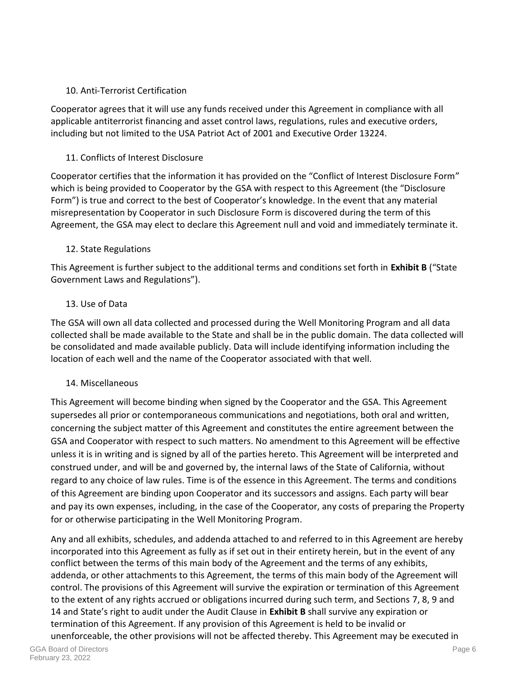## 10. Anti-Terrorist Certification

Cooperator agrees that it will use any funds received under this Agreement in compliance with all applicable antiterrorist financing and asset control laws, regulations, rules and executive orders, including but not limited to the USA Patriot Act of 2001 and Executive Order 13224.

## 11. Conflicts of Interest Disclosure

Cooperator certifies that the information it has provided on the "Conflict of Interest Disclosure Form" which is being provided to Cooperator by the GSA with respect to this Agreement (the "Disclosure Form") is true and correct to the best of Cooperator's knowledge. In the event that any material misrepresentation by Cooperator in such Disclosure Form is discovered during the term of this Agreement, the GSA may elect to declare this Agreement null and void and immediately terminate it.

## 12. State Regulations

This Agreement is further subject to the additional terms and conditions set forth in **Exhibit B** ("State Government Laws and Regulations").

## 13. Use of Data

The GSA will own all data collected and processed during the Well Monitoring Program and all data collected shall be made available to the State and shall be in the public domain. The data collected will be consolidated and made available publicly. Data will include identifying information including the location of each well and the name of the Cooperator associated with that well.

## 14. Miscellaneous

This Agreement will become binding when signed by the Cooperator and the GSA. This Agreement supersedes all prior or contemporaneous communications and negotiations, both oral and written, concerning the subject matter of this Agreement and constitutes the entire agreement between the GSA and Cooperator with respect to such matters. No amendment to this Agreement will be effective unless it is in writing and is signed by all of the parties hereto. This Agreement will be interpreted and construed under, and will be and governed by, the internal laws of the State of California, without regard to any choice of law rules. Time is of the essence in this Agreement. The terms and conditions of this Agreement are binding upon Cooperator and its successors and assigns. Each party will bear and pay its own expenses, including, in the case of the Cooperator, any costs of preparing the Property for or otherwise participating in the Well Monitoring Program.

Any and all exhibits, schedules, and addenda attached to and referred to in this Agreement are hereby incorporated into this Agreement as fully as if set out in their entirety herein, but in the event of any conflict between the terms of this main body of the Agreement and the terms of any exhibits, addenda, or other attachments to this Agreement, the terms of this main body of the Agreement will control. The provisions of this Agreement will survive the expiration or termination of this Agreement to the extent of any rights accrued or obligations incurred during such term, and Sections 7, 8, 9 and 14 and State's right to audit under the Audit Clause in **Exhibit B** shall survive any expiration or termination of this Agreement. If any provision of this Agreement is held to be invalid or unenforceable, the other provisions will not be affected thereby. This Agreement may be executed in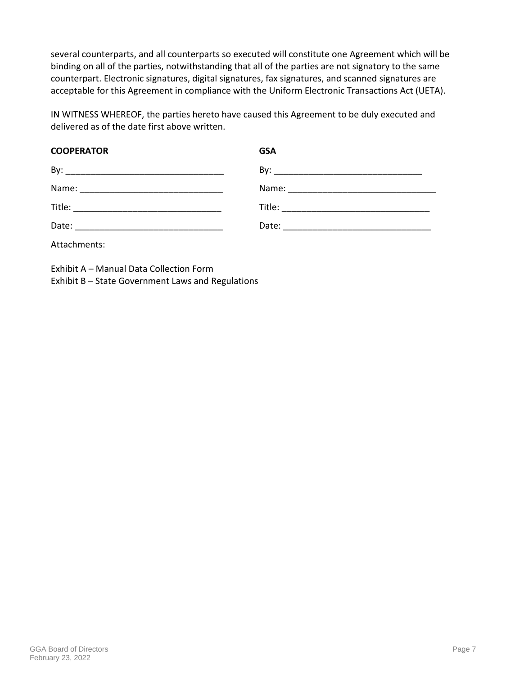several counterparts, and all counterparts so executed will constitute one Agreement which will be binding on all of the parties, notwithstanding that all of the parties are not signatory to the same counterpart. Electronic signatures, digital signatures, fax signatures, and scanned signatures are acceptable for this Agreement in compliance with the Uniform Electronic Transactions Act (UETA).

IN WITNESS WHEREOF, the parties hereto have caused this Agreement to be duly executed and delivered as of the date first above written.

| <b>COOPERATOR</b> | <b>GSA</b> |  |
|-------------------|------------|--|
|                   |            |  |
|                   |            |  |
|                   |            |  |
|                   |            |  |
| Attachments:      |            |  |

Exhibit A – Manual Data Collection Form Exhibit B – State Government Laws and Regulations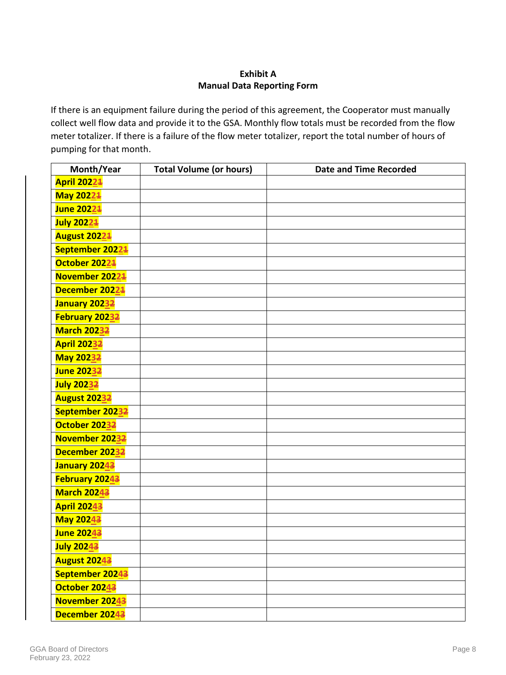## **Exhibit A Manual Data Reporting Form**

If there is an equipment failure during the period of this agreement, the Cooperator must manually collect well flow data and provide it to the GSA. Monthly flow totals must be recorded from the flow meter totalizer. If there is a failure of the flow meter totalizer, report the total number of hours of pumping for that month.

| Month/Year          | <b>Total Volume (or hours)</b> | <b>Date and Time Recorded</b> |
|---------------------|--------------------------------|-------------------------------|
| <b>April 20221</b>  |                                |                               |
| May 20224           |                                |                               |
| <b>June 20221</b>   |                                |                               |
| July 20221          |                                |                               |
| <b>August 20224</b> |                                |                               |
| September 20224     |                                |                               |
| October 20224       |                                |                               |
| November 20224      |                                |                               |
| December 20224      |                                |                               |
| January 20232       |                                |                               |
| February 20232      |                                |                               |
| <b>March 20232</b>  |                                |                               |
| <b>April 20232</b>  |                                |                               |
| May 20232           |                                |                               |
| <b>June 20232</b>   |                                |                               |
| July 20232          |                                |                               |
| <b>August 20232</b> |                                |                               |
| September 20232     |                                |                               |
| October 20232       |                                |                               |
| November 20232      |                                |                               |
| December 20232      |                                |                               |
| January 20243       |                                |                               |
| February 20243      |                                |                               |
| <b>March 20243</b>  |                                |                               |
| <b>April 20243</b>  |                                |                               |
| <b>May 20243</b>    |                                |                               |
| June 20243          |                                |                               |
| <b>July 20243</b>   |                                |                               |
| <b>August 20243</b> |                                |                               |
| September 20243     |                                |                               |
| October 20243       |                                |                               |
| November 20243      |                                |                               |
| December 20243      |                                |                               |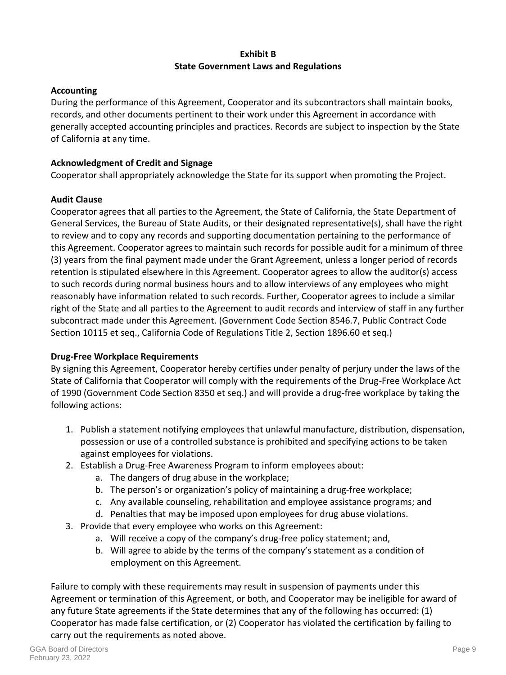## **Exhibit B State Government Laws and Regulations**

## **Accounting**

During the performance of this Agreement, Cooperator and its subcontractors shall maintain books, records, and other documents pertinent to their work under this Agreement in accordance with generally accepted accounting principles and practices. Records are subject to inspection by the State of California at any time.

## **Acknowledgment of Credit and Signage**

Cooperator shall appropriately acknowledge the State for its support when promoting the Project.

## **Audit Clause**

Cooperator agrees that all parties to the Agreement, the State of California, the State Department of General Services, the Bureau of State Audits, or their designated representative(s), shall have the right to review and to copy any records and supporting documentation pertaining to the performance of this Agreement. Cooperator agrees to maintain such records for possible audit for a minimum of three (3) years from the final payment made under the Grant Agreement, unless a longer period of records retention is stipulated elsewhere in this Agreement. Cooperator agrees to allow the auditor(s) access to such records during normal business hours and to allow interviews of any employees who might reasonably have information related to such records. Further, Cooperator agrees to include a similar right of the State and all parties to the Agreement to audit records and interview of staff in any further subcontract made under this Agreement. (Government Code Section 8546.7, Public Contract Code Section 10115 et seq., California Code of Regulations Title 2, Section 1896.60 et seq.)

## **Drug-Free Workplace Requirements**

By signing this Agreement, Cooperator hereby certifies under penalty of perjury under the laws of the State of California that Cooperator will comply with the requirements of the Drug-Free Workplace Act of 1990 (Government Code Section 8350 et seq.) and will provide a drug-free workplace by taking the following actions:

- 1. Publish a statement notifying employees that unlawful manufacture, distribution, dispensation, possession or use of a controlled substance is prohibited and specifying actions to be taken against employees for violations.
- 2. Establish a Drug-Free Awareness Program to inform employees about:
	- a. The dangers of drug abuse in the workplace;
	- b. The person's or organization's policy of maintaining a drug-free workplace;
	- c. Any available counseling, rehabilitation and employee assistance programs; and
	- d. Penalties that may be imposed upon employees for drug abuse violations.
- 3. Provide that every employee who works on this Agreement:
	- a. Will receive a copy of the company's drug-free policy statement; and,
	- b. Will agree to abide by the terms of the company's statement as a condition of employment on this Agreement.

Failure to comply with these requirements may result in suspension of payments under this Agreement or termination of this Agreement, or both, and Cooperator may be ineligible for award of any future State agreements if the State determines that any of the following has occurred: (1) Cooperator has made false certification, or (2) Cooperator has violated the certification by failing to carry out the requirements as noted above.